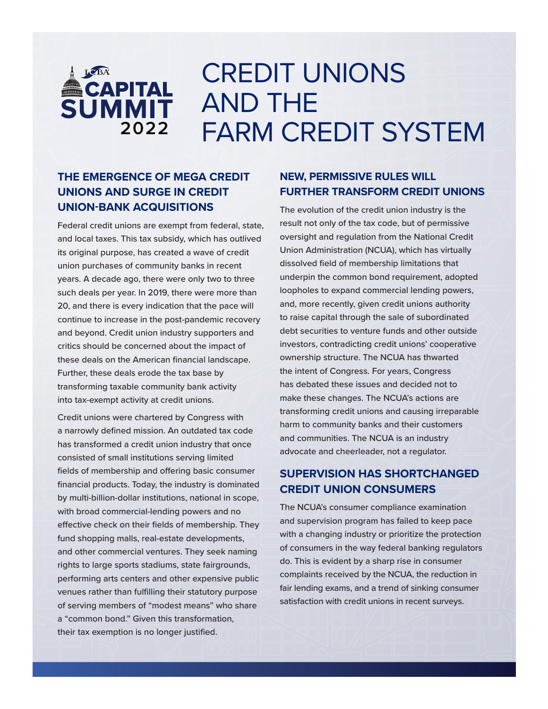# **ACAPITAL**<br>SUMMIT 2022

## CREDIT UNIONS AND THE FARM CREDIT SYSTEM

### **THE EMERGENCE OF MEGA CREDIT UNIONS AND SURGE IN CREDIT UNION-BANK ACQUISITIONS**

Federal credit unions are exempt from federal, state, and local taxes. This tax subsidy, which has outlived its original purpose, has created a wave of credit union purchases of community banks in recent years. A decade ago, there were only two to three such deals per year. In 2019, there were more than 20, and there is every indication that the pace will continue to increase in the post-pandemic recovery and beyond. Credit union industry supporters and critics should be concerned about the impact of these deals on the American financial landscape. Further, these deals erode the tax base by transforming taxable community bank activity into tax-exempt activity at credit unions.

Credit unions were chartered by Congress with a narrowly defined mission. An outdated tax code has transformed a credit union industry that once consisted of small institutions serving limited fields of membership and offering basic consumer financial products. Today, the industry is dominated by multi-billion-dollar institutions, national in scope, with broad commercial-lending powers and no effective check on their fields of membership. They fund shopping malls, real-estate developments, and other commercial ventures. They seek naming rights to large sports stadiums, state fairgrounds, performing arts centers and other expensive public venues rather than fulfilling their statutory purpose of serving members of "modest means" who share a "common bond." Given this transformation, their tax exemption is no longer justified.

#### **NEW, PERMISSIVE RULES WILL FURTHER TRANSFORM CREDIT UNIONS**

The evolution of the credit union industry is the result not only of the tax code, but of permissive oversight and regulation from the National Credit Union Administration (NCUA), which has virtually dissolved field of membership limitations that underpin the common bond requirement, adopted loopholes to expand commercial lending powers, and, more recently, given credit unions authority to raise capital through the sale of subordinated debt securities to venture funds and other outside investors, contradicting credit unions' cooperative ownership structure. The NCUA has thwarted the intent of Congress. For years, Congress has debated these issues and decided not to make these changes. The NCUA's actions are transforming credit unions and causing irreparable harm to community banks and their customers and communities. The NCUA is an industry advocate and cheerleader, not a regulator.

#### **SUPERVISION HAS SHORTCHANGED CREDIT UNION CONSUMERS**

The NCUA's consumer compliance examination and supervision program has failed to keep pace with a changing industry or prioritize the protection of consumers in the way federal banking regulators do. This is evident by a sharp rise in consumer complaints received by the NCUA, the reduction in fair lending exams, and a trend of sinking consumer satisfaction with credit unions in recent surveys.